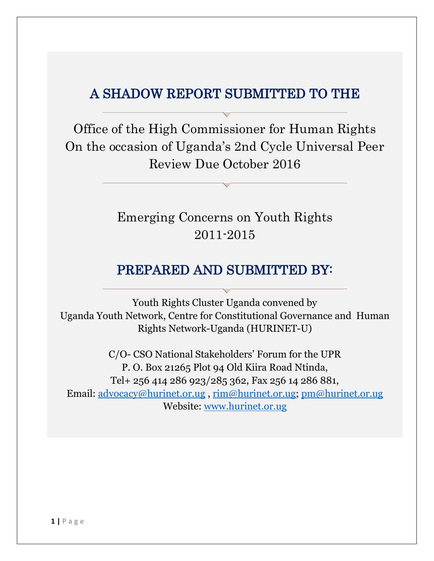## A SHADOW REPORT SUBMITTED TO THE

Office of the High Commissioner for Human Rights On the occasion of Uganda's 2nd Cycle Universal Peer Review Due October 2016

> Emerging Concerns on Youth Rights 2011-2015

### PREPARED AND SUBMITTED BY:

Youth Rights Cluster Uganda convened by Uganda Youth Network, Centre for Constitutional Governance and Human Rights Network-Uganda (HURINET-U)

C/O- CSO National Stakeholders' Forum for the UPR P. O. Box 21265 Plot 94 Old Kiira Road Ntinda, Tel+ 256 414 286 923/285 362, Fax 256 14 286 881, Email: [advocacy@hurinet.or.ug](mailto:advocacy@hurinet.or.ug) , [rim@hurinet.or.ug;](mailto:rim@hurinet.or.ug) [pm@hurinet.or.ug](mailto:pm@hurinet.or.ug)  Website: [www.hurinet.or.ug](http://www.hurinet.or.ug/)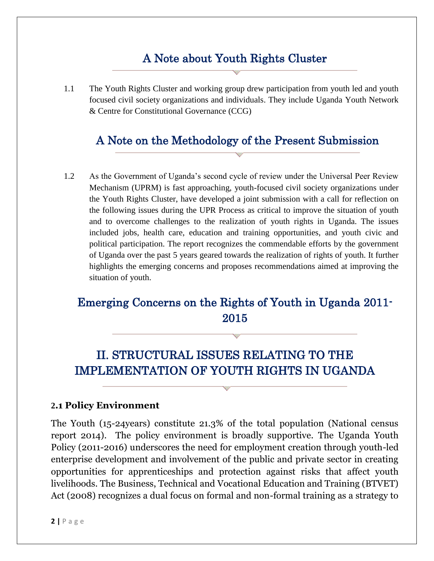## A Note about Youth Rights Cluster

1.1 The Youth Rights Cluster and working group drew participation from youth led and youth focused civil society organizations and individuals. They include Uganda Youth Network & Centre for Constitutional Governance (CCG)

### A Note on the Methodology of the Present Submission

1.2 As the Government of Uganda's second cycle of review under the Universal Peer Review Mechanism (UPRM) is fast approaching, youth-focused civil society organizations under the Youth Rights Cluster, have developed a joint submission with a call for reflection on the following issues during the UPR Process as critical to improve the situation of youth and to overcome challenges to the realization of youth rights in Uganda. The issues included jobs, health care, education and training opportunities, and youth civic and political participation. The report recognizes the commendable efforts by the government of Uganda over the past 5 years geared towards the realization of rights of youth. It further highlights the emerging concerns and proposes recommendations aimed at improving the situation of youth.

# Emerging Concerns on the Rights of Youth in Uganda 2011- 2015

# II. STRUCTURAL ISSUES RELATING TO THE IMPLEMENTATION OF YOUTH RIGHTS IN UGANDA

#### **2.1 Policy Environment**

The Youth (15-24years) constitute 21.3% of the total population (National census report 2014). The policy environment is broadly supportive. The Uganda Youth Policy (2011-2016) underscores the need for employment creation through youth-led enterprise development and involvement of the public and private sector in creating opportunities for apprenticeships and protection against risks that affect youth livelihoods. The Business, Technical and Vocational Education and Training (BTVET) Act (2008) recognizes a dual focus on formal and non-formal training as a strategy to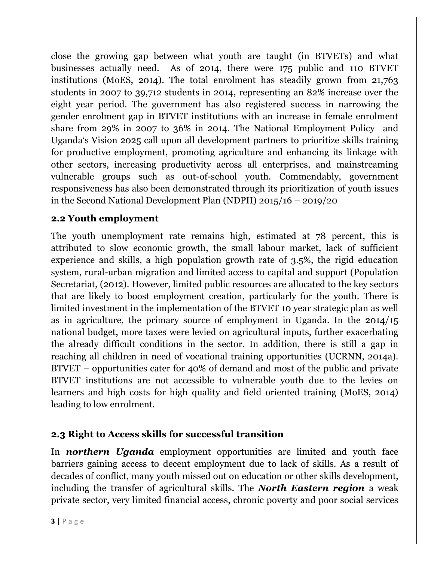close the growing gap between what youth are taught (in BTVETs) and what businesses actually need. As of 2014, there were 175 public and 110 BTVET institutions (MoES, 2014). The total enrolment has steadily grown from 21,763 students in 2007 to 39,712 students in 2014, representing an 82% increase over the eight year period. The government has also registered success in narrowing the gender enrolment gap in BTVET institutions with an increase in female enrolment share from 29% in 2007 to 36% in 2014. The National Employment Policy and Uganda's Vision 2025 call upon all development partners to prioritize skills training for productive employment, promoting agriculture and enhancing its linkage with other sectors, increasing productivity across all enterprises, and mainstreaming vulnerable groups such as out-of-school youth. Commendably, government responsiveness has also been demonstrated through its prioritization of youth issues in the Second National Development Plan (NDPII) 2015/16 – 2019/20

#### **2.2 Youth employment**

The youth unemployment rate remains high, estimated at 78 percent, this is attributed to slow economic growth, the small labour market, lack of sufficient experience and skills, a high population growth rate of 3.5%, the rigid education system, rural-urban migration and limited access to capital and support (Population Secretariat, (2012). However, limited public resources are allocated to the key sectors that are likely to boost employment creation, particularly for the youth. There is limited investment in the implementation of the BTVET 10 year strategic plan as well as in agriculture, the primary source of employment in Uganda. In the 2014/15 national budget, more taxes were levied on agricultural inputs, further exacerbating the already difficult conditions in the sector. In addition, there is still a gap in reaching all children in need of vocational training opportunities (UCRNN, 2014a). BTVET – opportunities cater for 40% of demand and most of the public and private BTVET institutions are not accessible to vulnerable youth due to the levies on learners and high costs for high quality and field oriented training (MoES, 2014) leading to low enrolment.

#### **2.3 Right to Access skills for successful transition**

In *northern Uganda* employment opportunities are limited and youth face barriers gaining access to decent employment due to lack of skills. As a result of decades of conflict, many youth missed out on education or other skills development, including the transfer of agricultural skills. The *North Eastern region* a weak private sector, very limited financial access, chronic poverty and poor social services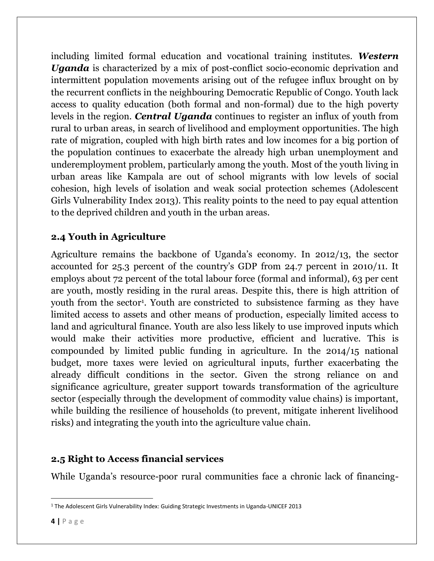including limited formal education and vocational training institutes. *Western Uganda* is characterized by a mix of post-conflict socio-economic deprivation and intermittent population movements arising out of the refugee influx brought on by the recurrent conflicts in the neighbouring Democratic Republic of Congo. Youth lack access to quality education (both formal and non-formal) due to the high poverty levels in the region. *Central Uganda* continues to register an influx of youth from rural to urban areas, in search of livelihood and employment opportunities. The high rate of migration, coupled with high birth rates and low incomes for a big portion of the population continues to exacerbate the already high urban unemployment and underemployment problem, particularly among the youth. Most of the youth living in urban areas like Kampala are out of school migrants with low levels of social cohesion, high levels of isolation and weak social protection schemes (Adolescent Girls Vulnerability Index 2013). This reality points to the need to pay equal attention to the deprived children and youth in the urban areas.

### **2.4 Youth in Agriculture**

Agriculture remains the backbone of Uganda's economy. In 2012/13, the sector accounted for 25.3 percent of the country's GDP from 24.7 percent in 2010/11. It employs about 72 percent of the total labour force (formal and informal), 63 per cent are youth, mostly residing in the rural areas. Despite this, there is high attrition of youth from the sector 1 . Youth are constricted to subsistence farming as they have limited access to assets and other means of production, especially limited access to land and agricultural finance. Youth are also less likely to use improved inputs which would make their activities more productive, efficient and lucrative. This is compounded by limited public funding in agriculture. In the 2014/15 national budget, more taxes were levied on agricultural inputs, further exacerbating the already difficult conditions in the sector. Given the strong reliance on and significance agriculture, greater support towards transformation of the agriculture sector (especially through the development of commodity value chains) is important, while building the resilience of households (to prevent, mitigate inherent livelihood risks) and integrating the youth into the agriculture value chain.

#### **2.5 Right to Access financial services**

While Uganda's resource-poor rural communities face a chronic lack of financing-

 $\overline{a}$ 

<sup>1</sup> The Adolescent Girls Vulnerability Index: Guiding Strategic Investments in Uganda-UNICEF 2013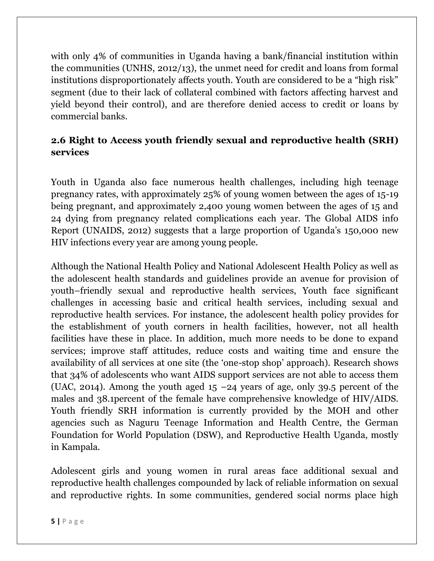with only 4% of communities in Uganda having a bank/financial institution within the communities (UNHS, 2012/13), the unmet need for credit and loans from formal institutions disproportionately affects youth. Youth are considered to be a "high risk" segment (due to their lack of collateral combined with factors affecting harvest and yield beyond their control), and are therefore denied access to credit or loans by commercial banks.

### **2.6 Right to Access youth friendly sexual and reproductive health (SRH) services**

Youth in Uganda also face numerous health challenges, including high teenage pregnancy rates, with approximately 25% of young women between the ages of 15-19 being pregnant, and approximately 2,400 young women between the ages of 15 and 24 dying from pregnancy related complications each year. The Global AIDS info Report (UNAIDS, 2012) suggests that a large proportion of Uganda's 150,000 new HIV infections every year are among young people.

Although the National Health Policy and National Adolescent Health Policy as well as the adolescent health standards and guidelines provide an avenue for provision of youth–friendly sexual and reproductive health services, Youth face significant challenges in accessing basic and critical health services, including sexual and reproductive health services. For instance, the adolescent health policy provides for the establishment of youth corners in health facilities, however, not all health facilities have these in place. In addition, much more needs to be done to expand services; improve staff attitudes, reduce costs and waiting time and ensure the availability of all services at one site (the 'one-stop shop' approach). Research shows that 34% of adolescents who want AIDS support services are not able to access them (UAC, 2014). Among the youth aged  $15 - 24$  years of age, only 39.5 percent of the males and 38.1percent of the female have comprehensive knowledge of HIV/AIDS. Youth friendly SRH information is currently provided by the MOH and other agencies such as Naguru Teenage Information and Health Centre, the German Foundation for World Population (DSW), and Reproductive Health Uganda, mostly in Kampala.

Adolescent girls and young women in rural areas face additional sexual and reproductive health challenges compounded by lack of reliable information on sexual and reproductive rights. In some communities, gendered social norms place high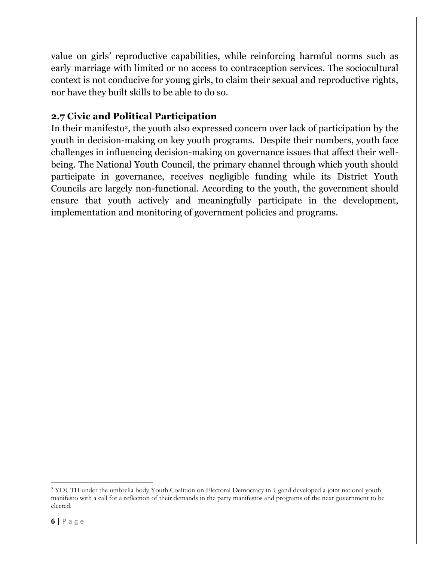value on girls' reproductive capabilities, while reinforcing harmful norms such as early marriage with limited or no access to contraception services. The sociocultural context is not conducive for young girls, to claim their sexual and reproductive rights, nor have they built skills to be able to do so.

#### **2.7 Civic and Political Participation**

In their manifesto<sup>2</sup>, the youth also expressed concern over lack of participation by the youth in decision-making on key youth programs. Despite their numbers, youth face challenges in influencing decision-making on governance issues that affect their wellbeing. The National Youth Council, the primary channel through which youth should participate in governance, receives negligible funding while its District Youth Councils are largely non-functional. According to the youth, the government should ensure that youth actively and meaningfully participate in the development, implementation and monitoring of government policies and programs.

l

<sup>&</sup>lt;sup>2</sup> YOUTH under the umbrella body Youth Coalition on Electoral Democracy in Ugand developed a joint national youth manifesto with a call for a reflection of their demands in the party manifestos and programs of the next government to be elected.